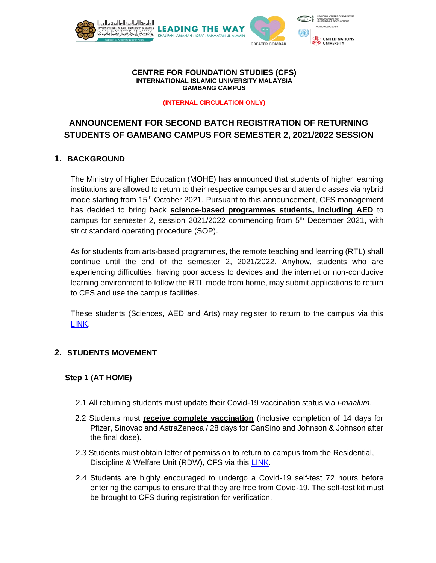

#### **CENTRE FOR FOUNDATION STUDIES (CFS) INTERNATIONAL ISLAMIC UNIVERSITY MALAYSIA GAMBANG CAMPUS**

#### **(INTERNAL CIRCULATION ONLY)**

# **ANNOUNCEMENT FOR SECOND BATCH REGISTRATION OF RETURNING STUDENTS OF GAMBANG CAMPUS FOR SEMESTER 2, 2021/2022 SESSION**

#### **1. BACKGROUND**

The Ministry of Higher Education (MOHE) has announced that students of higher learning institutions are allowed to return to their respective campuses and attend classes via hybrid mode starting from 15<sup>th</sup> October 2021. Pursuant to this announcement, CFS management has decided to bring back **science-based programmes students, including AED** to campus for semester 2, session 2021/2022 commencing from  $5<sup>th</sup>$  December 2021, with strict standard operating procedure (SOP).

As for students from arts-based programmes, the remote teaching and learning (RTL) shall continue until the end of the semester 2, 2021/2022. Anyhow, students who are experiencing difficulties: having poor access to devices and the internet or non-conducive learning environment to follow the RTL mode from home, may submit applications to return to CFS and use the campus facilities.

These students (Sciences, AED and Arts) may register to return to the campus via this [LINK.](https://forms.gle/w36h14HN6rp5uV81A)

## **2. STUDENTS MOVEMENT**

## **Step 1 (AT HOME)**

- 2.1 All returning students must update their Covid-19 vaccination status via *i-maalum*.
- 2.2 Students must **receive complete vaccination** (inclusive completion of 14 days for Pfizer, Sinovac and AstraZeneca / 28 days for CanSino and Johnson & Johnson after the final dose).
- 2.3 Students must obtain letter of permission to return to campus from the Residential, Discipline & Welfare Unit (RDW), CFS via this [LINK.](https://www.iium.edu.my/kulliyyah/cfs/residential-discipline-and-welfare-unit-rdw)
- 2.4 Students are highly encouraged to undergo a Covid-19 self-test 72 hours before entering the campus to ensure that they are free from Covid-19. The self-test kit must be brought to CFS during registration for verification.